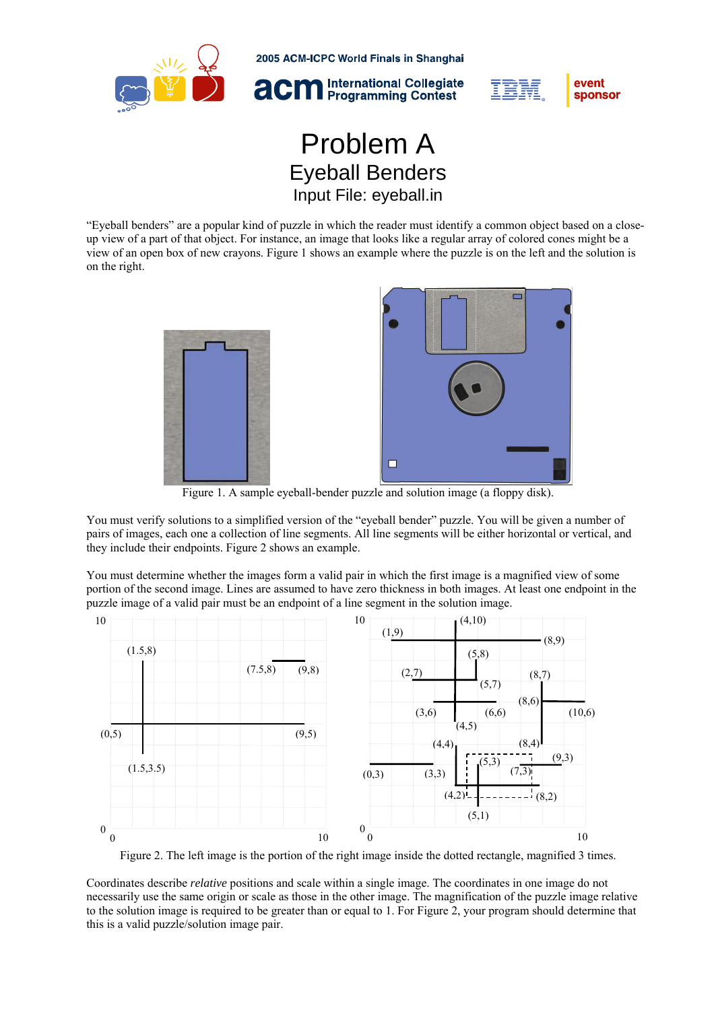

# Problem A Eyeball Benders Input File: eyeball.in

"Eyeball benders" are a popular kind of puzzle in which the reader must identify a common object based on a closeup view of a part of that object. For instance, an image that looks like a regular array of colored cones might be a view of an open box of new crayons. Figure 1 shows an example where the puzzle is on the left and the solution is on the right.



Figure 1. A sample eyeball-bender puzzle and solution image (a floppy disk).

You must verify solutions to a simplified version of the "eyeball bender" puzzle. You will be given a number of pairs of images, each one a collection of line segments. All line segments will be either horizontal or vertical, and they include their endpoints. Figure 2 shows an example.

You must determine whether the images form a valid pair in which the first image is a magnified view of some portion of the second image. Lines are assumed to have zero thickness in both images. At least one endpoint in the puzzle image of a valid pair must be an endpoint of a line segment in the solution image.



Figure 2. The left image is the portion of the right image inside the dotted rectangle, magnified 3 times.

Coordinates describe *relative* positions and scale within a single image. The coordinates in one image do not necessarily use the same origin or scale as those in the other image. The magnification of the puzzle image relative to the solution image is required to be greater than or equal to 1. For Figure 2, your program should determine that this is a valid puzzle/solution image pair.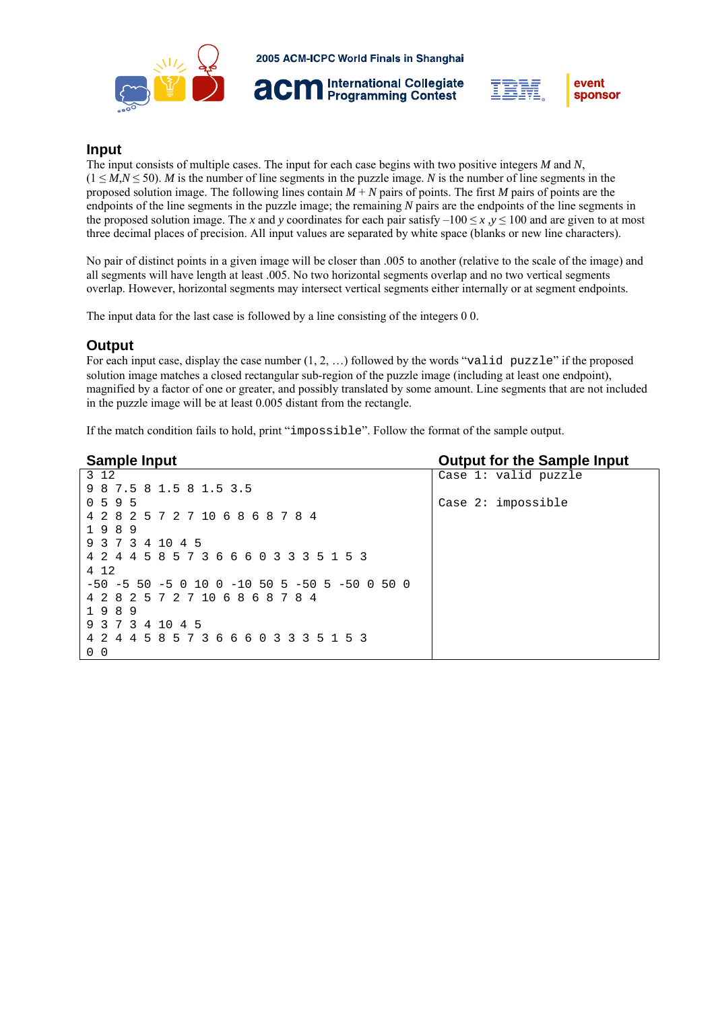![](_page_1_Picture_0.jpeg)

**acm** International Collegiate

![](_page_1_Picture_3.jpeg)

#### **Input**

The input consists of multiple cases. The input for each case begins with two positive integers *M* and *N*,  $(1 \leq M$ , $N \leq 50)$ . *M* is the number of line segments in the puzzle image. *N* is the number of line segments in the proposed solution image. The following lines contain *M* + *N* pairs of points. The first *M* pairs of points are the endpoints of the line segments in the puzzle image; the remaining *N* pairs are the endpoints of the line segments in the proposed solution image. The *x* and *y* coordinates for each pair satisfy  $-100 \le x, y \le 100$  and are given to at most three decimal places of precision. All input values are separated by white space (blanks or new line characters).

No pair of distinct points in a given image will be closer than .005 to another (relative to the scale of the image) and all segments will have length at least .005. No two horizontal segments overlap and no two vertical segments overlap. However, horizontal segments may intersect vertical segments either internally or at segment endpoints.

The input data for the last case is followed by a line consisting of the integers 0 0.

### **Output**

For each input case, display the case number  $(1, 2, ...)$  followed by the words "valid puzzle" if the proposed solution image matches a closed rectangular sub-region of the puzzle image (including at least one endpoint), magnified by a factor of one or greater, and possibly translated by some amount. Line segments that are not included in the puzzle image will be at least 0.005 distant from the rectangle.

If the match condition fails to hold, print "impossible". Follow the format of the sample output.

| <b>Sample Input</b>                                                                                                                            | <b>Output for the Sample Input</b> |
|------------------------------------------------------------------------------------------------------------------------------------------------|------------------------------------|
| 3 1 2                                                                                                                                          | Case 1: valid puzzle               |
| 8 1.5 8 1.5 3.5<br>9 8 7.5                                                                                                                     |                                    |
| 0595                                                                                                                                           | Case 2: impossible                 |
| 5<br>271068687<br>8<br>2<br>7<br>84<br>4<br>- 2                                                                                                |                                    |
| 1989                                                                                                                                           |                                    |
| $\mathcal{R}$<br>4 10 4 5<br>93<br>7                                                                                                           |                                    |
| 4 2 4 4 5 8 5 7 3 6 6 6 0 3 3 3 5 1 5 3                                                                                                        |                                    |
| 4 1 2                                                                                                                                          |                                    |
| $-50 - 550 - 50$<br>1 N<br>$0 - 10$ 50 5 -50 5 -50 0 50 0                                                                                      |                                    |
| 2 7 10 6<br>8<br>86<br>8<br>.5<br>7<br>7<br>84<br>2<br>4 2                                                                                     |                                    |
| 1989                                                                                                                                           |                                    |
| 10 4 5<br>93<br>्र<br>4                                                                                                                        |                                    |
| 4 5 8 5 7<br>$\overline{0}$<br>-3<br>66<br>$\overline{3}$<br>$\overline{\mathbf{3}}$<br>$\overline{\mathbf{3}}$<br>5<br>1 5 3<br>6<br>4<br>4 2 |                                    |
| $0\quad 0$                                                                                                                                     |                                    |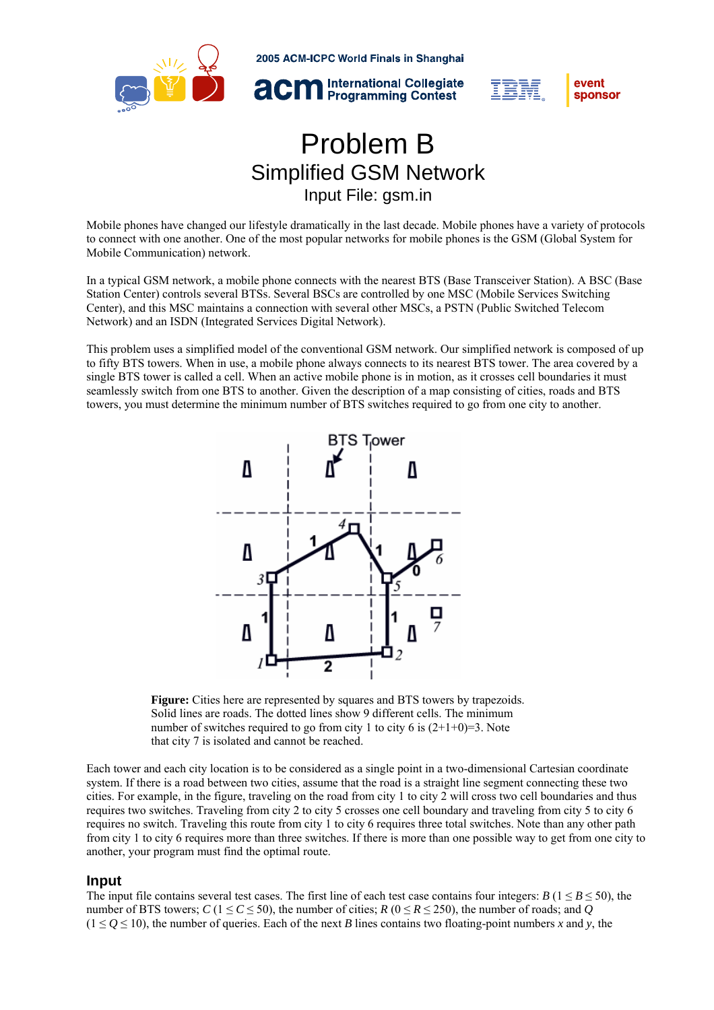![](_page_2_Picture_0.jpeg)

**International Collegiate** acm **Programming Contest** 

![](_page_2_Picture_3.jpeg)

# Problem B Simplified GSM Network Input File: gsm.in

Mobile phones have changed our lifestyle dramatically in the last decade. Mobile phones have a variety of protocols to connect with one another. One of the most popular networks for mobile phones is the GSM (Global System for Mobile Communication) network.

In a typical GSM network, a mobile phone connects with the nearest BTS (Base Transceiver Station). A BSC (Base Station Center) controls several BTSs. Several BSCs are controlled by one MSC (Mobile Services Switching Center), and this MSC maintains a connection with several other MSCs, a PSTN (Public Switched Telecom Network) and an ISDN (Integrated Services Digital Network).

This problem uses a simplified model of the conventional GSM network. Our simplified network is composed of up to fifty BTS towers. When in use, a mobile phone always connects to its nearest BTS tower. The area covered by a single BTS tower is called a cell. When an active mobile phone is in motion, as it crosses cell boundaries it must seamlessly switch from one BTS to another. Given the description of a map consisting of cities, roads and BTS towers, you must determine the minimum number of BTS switches required to go from one city to another.

![](_page_2_Figure_8.jpeg)

**Figure:** Cities here are represented by squares and BTS towers by trapezoids. Solid lines are roads. The dotted lines show 9 different cells. The minimum number of switches required to go from city 1 to city 6 is  $(2+1+0)=3$ . Note that city 7 is isolated and cannot be reached.

Each tower and each city location is to be considered as a single point in a two-dimensional Cartesian coordinate system. If there is a road between two cities, assume that the road is a straight line segment connecting these two cities. For example, in the figure, traveling on the road from city 1 to city 2 will cross two cell boundaries and thus requires two switches. Traveling from city 2 to city 5 crosses one cell boundary and traveling from city 5 to city 6 requires no switch. Traveling this route from city 1 to city 6 requires three total switches. Note than any other path from city 1 to city 6 requires more than three switches. If there is more than one possible way to get from one city to another, your program must find the optimal route.

#### **Input**

The input file contains several test cases. The first line of each test case contains four integers:  $B(1 \le B \le 50)$ , the number of BTS towers;  $C$  (1 ≤  $C$  ≤ 50), the number of cities;  $R$  (0 ≤  $R$  ≤ 250), the number of roads; and *Q*  $(1 \le Q \le 10)$ , the number of queries. Each of the next *B* lines contains two floating-point numbers *x* and *y*, the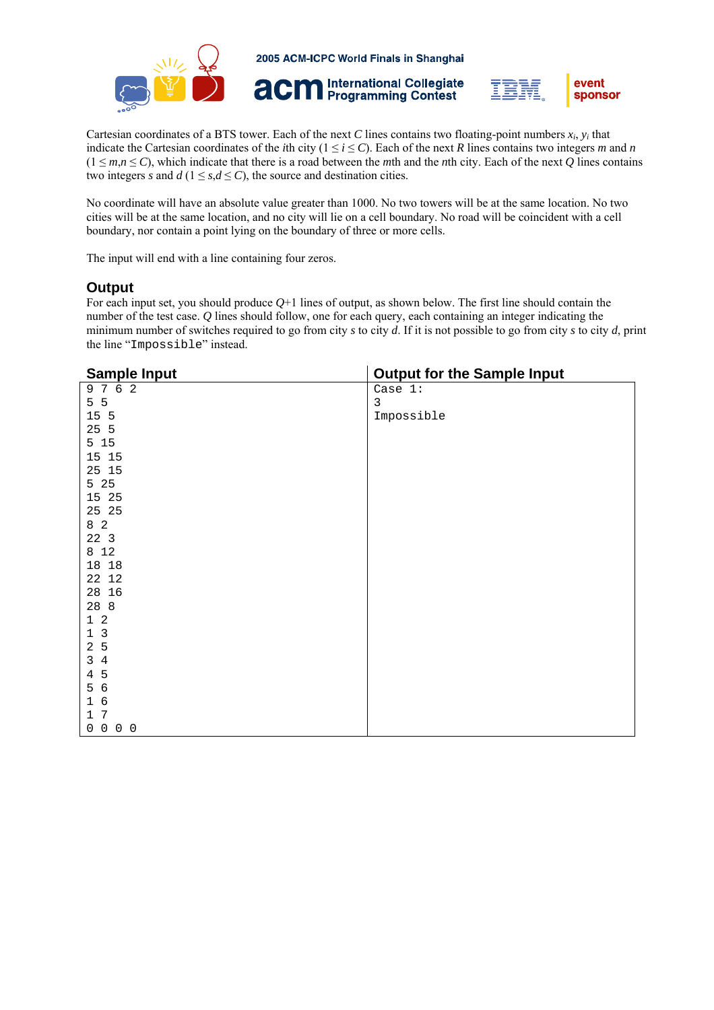![](_page_3_Picture_0.jpeg)

![](_page_3_Picture_2.jpeg)

![](_page_3_Picture_3.jpeg)

Cartesian coordinates of a BTS tower. Each of the next *C* lines contains two floating-point numbers *xi*, *yi* that indicate the Cartesian coordinates of the *i*th city ( $1 \le i \le C$ ). Each of the next *R* lines contains two integers *m* and *n*  $(1 \leq m,n \leq C)$ , which indicate that there is a road between the *m*th and the *n*th city. Each of the next *Q* lines contains two integers *s* and  $d$  ( $1 \leq s, d \leq C$ ), the source and destination cities.

No coordinate will have an absolute value greater than 1000. No two towers will be at the same location. No two cities will be at the same location, and no city will lie on a cell boundary. No road will be coincident with a cell boundary, nor contain a point lying on the boundary of three or more cells.

The input will end with a line containing four zeros.

## **Output**

For each input set, you should produce *Q*+1 lines of output, as shown below. The first line should contain the number of the test case. *Q* lines should follow, one for each query, each containing an integer indicating the minimum number of switches required to go from city *s* to city *d*. If it is not possible to go from city *s* to city *d*, print the line "Impossible" instead.

| <b>Sample Input</b> | <b>Output for the Sample Input</b> |
|---------------------|------------------------------------|
| 9762                | Case 1:                            |
| 5 <sub>5</sub>      | 3                                  |
| 15 5                | Impossible                         |
| 25 5                |                                    |
| 5 15                |                                    |
| 15 15               |                                    |
| 25 15               |                                    |
| 5 25                |                                    |
| 15 25               |                                    |
| 25 25               |                                    |
| 8 2                 |                                    |
| 22 3                |                                    |
| 8 1 2               |                                    |
| 18 18               |                                    |
| 22 12               |                                    |
| 28 16               |                                    |
| 28 8                |                                    |
| $1\quad2$           |                                    |
| 1 <sup>3</sup>      |                                    |
| 2 <sub>5</sub>      |                                    |
| $3\quad 4$          |                                    |
| 4 5                 |                                    |
| 5 6                 |                                    |
| 6<br>$\mathbf{1}$   |                                    |
| 7<br>$\mathbf{1}$   |                                    |
| 0 0 0 0             |                                    |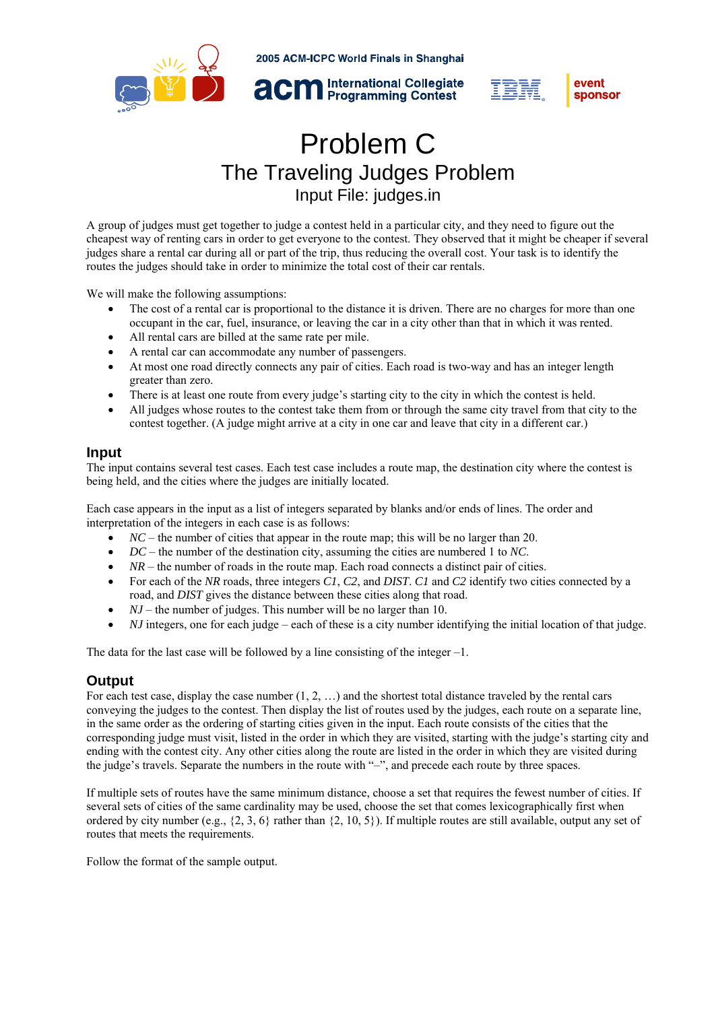![](_page_4_Picture_0.jpeg)

![](_page_4_Picture_1.jpeg)

**acm** International Collegiate

![](_page_4_Picture_3.jpeg)

# Problem C The Traveling Judges Problem Input File: judges.in

A group of judges must get together to judge a contest held in a particular city, and they need to figure out the cheapest way of renting cars in order to get everyone to the contest. They observed that it might be cheaper if several judges share a rental car during all or part of the trip, thus reducing the overall cost. Your task is to identify the routes the judges should take in order to minimize the total cost of their car rentals.

We will make the following assumptions:

- The cost of a rental car is proportional to the distance it is driven. There are no charges for more than one occupant in the car, fuel, insurance, or leaving the car in a city other than that in which it was rented.
- All rental cars are billed at the same rate per mile.
- A rental car can accommodate any number of passengers.
- At most one road directly connects any pair of cities. Each road is two-way and has an integer length greater than zero.
- There is at least one route from every judge's starting city to the city in which the contest is held.
- All judges whose routes to the contest take them from or through the same city travel from that city to the contest together. (A judge might arrive at a city in one car and leave that city in a different car.)

#### **Input**

The input contains several test cases. Each test case includes a route map, the destination city where the contest is being held, and the cities where the judges are initially located.

Each case appears in the input as a list of integers separated by blanks and/or ends of lines. The order and interpretation of the integers in each case is as follows:

- *NC* the number of cities that appear in the route map; this will be no larger than 20.
- *DC* the number of the destination city, assuming the cities are numbered 1 to *NC*.
- *NR* the number of roads in the route map. Each road connects a distinct pair of cities.
- For each of the *NR* roads, three integers *C1*, *C2*, and *DIST*. *C1* and *C2* identify two cities connected by a road, and *DIST* gives the distance between these cities along that road.
- *NJ* the number of judges. This number will be no larger than 10.
- *NJ* integers, one for each judge each of these is a city number identifying the initial location of that judge.

The data for the last case will be followed by a line consisting of the integer –1.

### **Output**

For each test case, display the case number  $(1, 2, ...)$  and the shortest total distance traveled by the rental cars conveying the judges to the contest. Then display the list of routes used by the judges, each route on a separate line, in the same order as the ordering of starting cities given in the input. Each route consists of the cities that the corresponding judge must visit, listed in the order in which they are visited, starting with the judge's starting city and ending with the contest city. Any other cities along the route are listed in the order in which they are visited during the judge's travels. Separate the numbers in the route with "–", and precede each route by three spaces.

If multiple sets of routes have the same minimum distance, choose a set that requires the fewest number of cities. If several sets of cities of the same cardinality may be used, choose the set that comes lexicographically first when ordered by city number (e.g.,  $\{2, 3, 6\}$  rather than  $\{2, 10, 5\}$ ). If multiple routes are still available, output any set of routes that meets the requirements.

Follow the format of the sample output.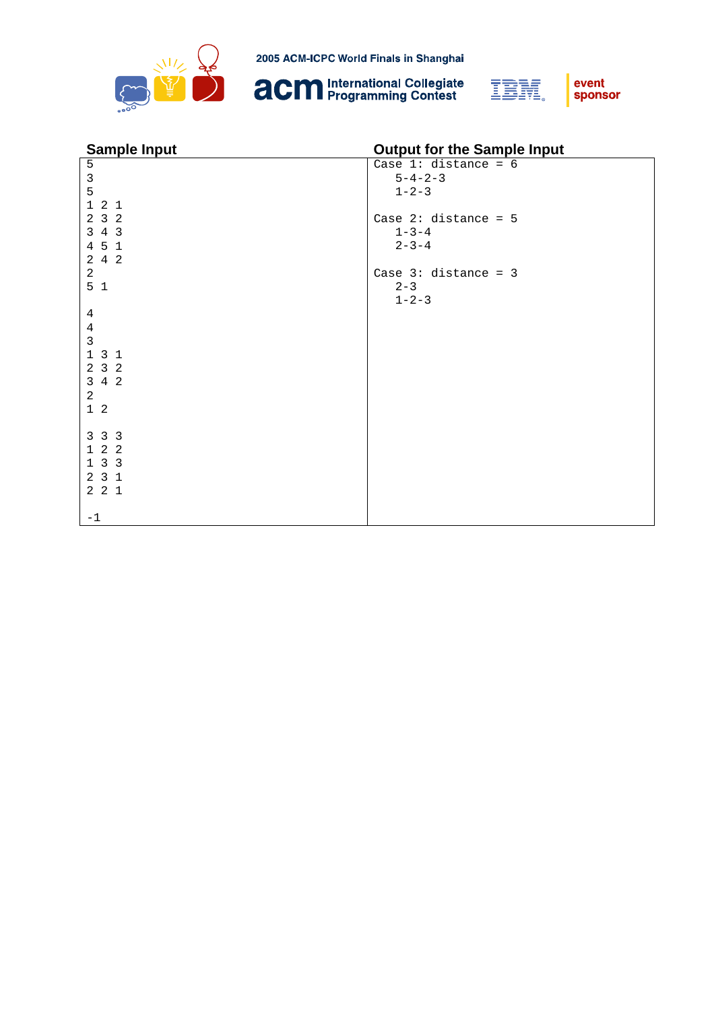![](_page_5_Picture_0.jpeg)

**acm** International Collegiate

![](_page_5_Figure_3.jpeg)

event<br>sponsor

| <b>Sample Input</b>                                                                     | <b>Output for the Sample Input</b>                       |
|-----------------------------------------------------------------------------------------|----------------------------------------------------------|
| $\overline{5}$<br>$\mathsf{3}$<br>5<br>$\mathbf{1}$<br>2 <sub>1</sub>                   | Case 1: distance = $6$<br>$5 - 4 - 2 - 3$<br>$1 - 2 - 3$ |
| 232<br>$3 \t4 \t3$<br>$4\quad 5\quad 1$<br>242                                          | Case 2: distance = $5$<br>$1 - 3 - 4$<br>$2 - 3 - 4$     |
| $\overline{c}$<br>5 <sub>1</sub><br>$\overline{4}$                                      | Case $3:$ distance = $3$<br>$2 - 3$<br>$1 - 2 - 3$       |
| $\,4$<br>$\mathbf{3}$<br>131<br>232<br>$3\quad 4\quad 2$<br>$\overline{a}$<br>$1\quad2$ |                                                          |
| 333<br>122<br>133<br>231<br>221                                                         |                                                          |
| $-1$                                                                                    |                                                          |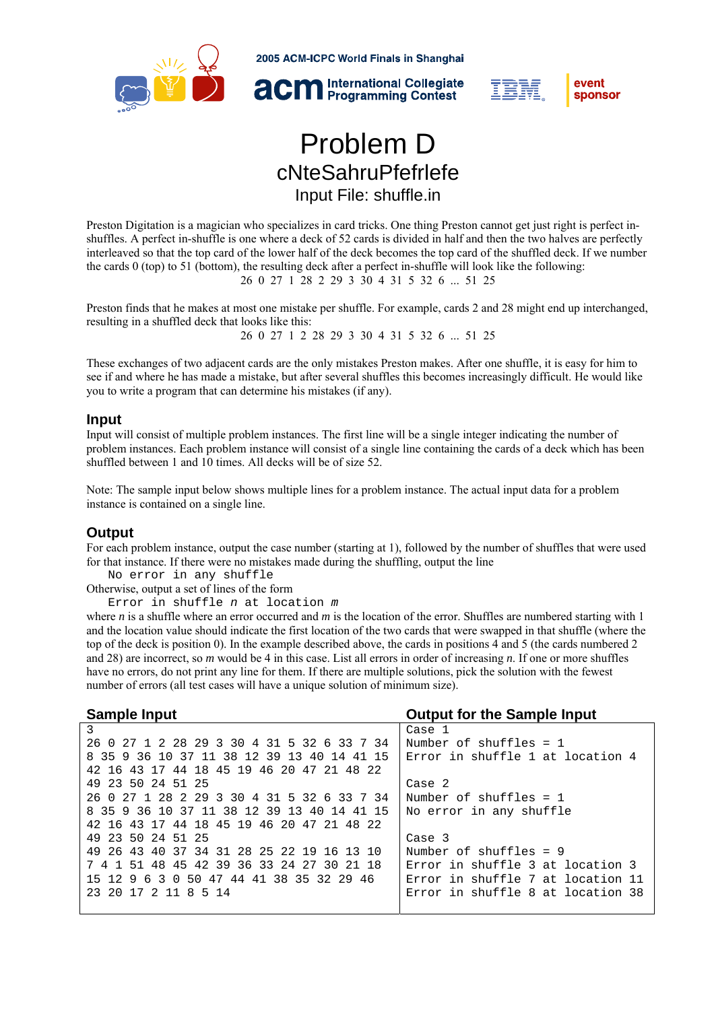![](_page_6_Picture_0.jpeg)

![](_page_6_Picture_1.jpeg)

**International Collegiate acm** International Collegiate

event

**sponsor** 

# Problem D cNteSahruPfefrlefe Input File: shuffle.in

Preston Digitation is a magician who specializes in card tricks. One thing Preston cannot get just right is perfect inshuffles. A perfect in-shuffle is one where a deck of 52 cards is divided in half and then the two halves are perfectly interleaved so that the top card of the lower half of the deck becomes the top card of the shuffled deck. If we number the cards 0 (top) to 51 (bottom), the resulting deck after a perfect in-shuffle will look like the following: 26 0 27 1 28 2 29 3 30 4 31 5 32 6 ... 51 25

Preston finds that he makes at most one mistake per shuffle. For example, cards 2 and 28 might end up interchanged, resulting in a shuffled deck that looks like this:

26 0 27 1 2 28 29 3 30 4 31 5 32 6 ... 51 25

These exchanges of two adjacent cards are the only mistakes Preston makes. After one shuffle, it is easy for him to see if and where he has made a mistake, but after several shuffles this becomes increasingly difficult. He would like you to write a program that can determine his mistakes (if any).

#### **Input**

Input will consist of multiple problem instances. The first line will be a single integer indicating the number of problem instances. Each problem instance will consist of a single line containing the cards of a deck which has been shuffled between 1 and 10 times. All decks will be of size 52.

Note: The sample input below shows multiple lines for a problem instance. The actual input data for a problem instance is contained on a single line.

### **Output**

For each problem instance, output the case number (starting at 1), followed by the number of shuffles that were used for that instance. If there were no mistakes made during the shuffling, output the line

No error in any shuffle

Otherwise, output a set of lines of the form

Error in shuffle *n* at location *m*

where *n* is a shuffle where an error occurred and *m* is the location of the error. Shuffles are numbered starting with 1 and the location value should indicate the first location of the two cards that were swapped in that shuffle (where the top of the deck is position 0). In the example described above, the cards in positions 4 and 5 (the cards numbered 2 and 28) are incorrect, so *m* would be 4 in this case. List all errors in order of increasing *n*. If one or more shuffles have no errors, do not print any line for them. If there are multiple solutions, pick the solution with the fewest number of errors (all test cases will have a unique solution of minimum size).

| <b>Sample Input</b>                               | <b>Output for the Sample Input</b> |
|---------------------------------------------------|------------------------------------|
| $\mathcal{R}$                                     | Case 1                             |
| 26 0 27 1 2 28 29 3 30 4 31 5 32 6 33 7 34        | Number of shuffles = $1$           |
| 8 35 9 36 10 37 11 38 12 39 13 40 14 41 15        | Error in shuffle 1 at location 4   |
| 42 16 43 17 44 18 45 19 46 20 47 21 48 22         |                                    |
| 49 23 50 24 51 25                                 | Case 2                             |
| 26 0 27 1 28 2 29 3 30 4 31 5 32 6 33 7 34        | Number of shuffles = $1$           |
| 8 35 9 36 10 37 11 38 12 39 13 40 14 41 15        | No error in any shuffle            |
| 42 16 43 17 44 18 45 19 46 20 47 21 48 22         |                                    |
| 49 23 50 24 51 25                                 | Case 3                             |
| 40<br>37 34 31 28 25 22 19 16 13 10<br>49<br>2643 | Number of shuffles = $9$           |
| 7 4 1 51 48 45 42 39 36 33 24 27 30 21 18         | Error in shuffle 3 at location 3   |
| 12 9 6 3 0 50 47 44 41 38 35 32 29 46<br>15       | Error in shuffle 7 at location 11  |
| 2 11 8 5 14<br>23 20 17                           | Error in shuffle 8 at location 38  |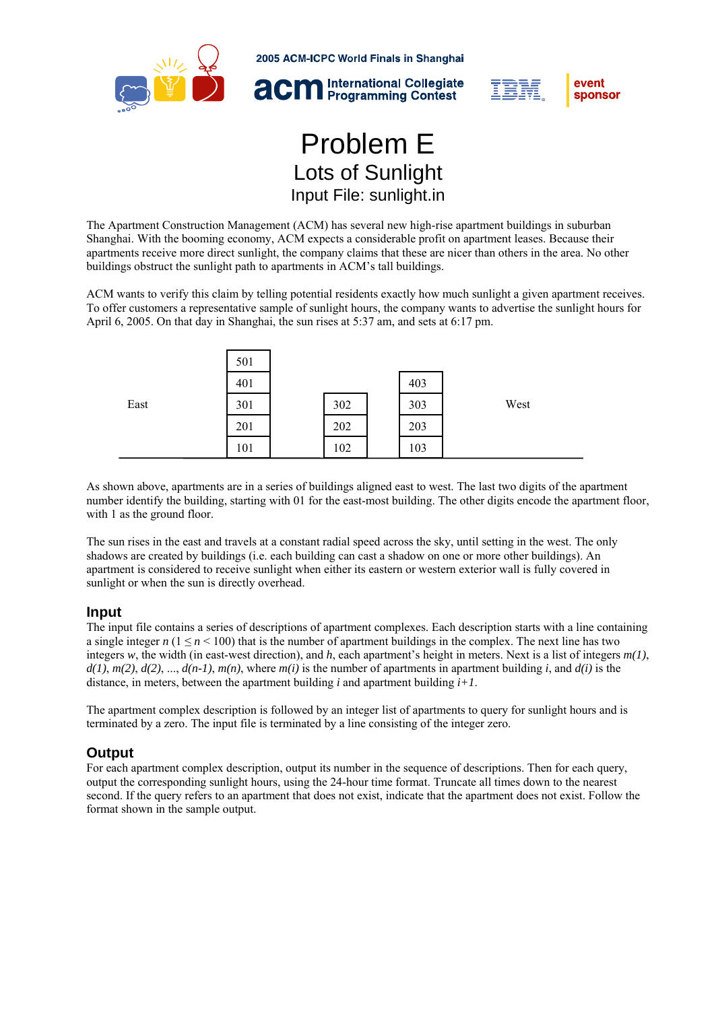![](_page_7_Picture_0.jpeg)

# Problem E Lots of Sunlight Input File: sunlight.in

The Apartment Construction Management (ACM) has several new high-rise apartment buildings in suburban Shanghai. With the booming economy, ACM expects a considerable profit on apartment leases. Because their apartments receive more direct sunlight, the company claims that these are nicer than others in the area. No other buildings obstruct the sunlight path to apartments in ACM's tall buildings.

ACM wants to verify this claim by telling potential residents exactly how much sunlight a given apartment receives. To offer customers a representative sample of sunlight hours, the company wants to advertise the sunlight hours for April 6, 2005. On that day in Shanghai, the sun rises at 5:37 am, and sets at 6:17 pm.

|      | 501 |     |     |      |
|------|-----|-----|-----|------|
|      | 401 |     | 403 |      |
| East | 301 | 302 | 303 | West |
|      | 201 | 202 | 203 |      |
|      | 101 | 102 | 103 |      |

As shown above, apartments are in a series of buildings aligned east to west. The last two digits of the apartment number identify the building, starting with 01 for the east-most building. The other digits encode the apartment floor, with 1 as the ground floor.

The sun rises in the east and travels at a constant radial speed across the sky, until setting in the west. The only shadows are created by buildings (i.e. each building can cast a shadow on one or more other buildings). An apartment is considered to receive sunlight when either its eastern or western exterior wall is fully covered in sunlight or when the sun is directly overhead.

#### **Input**

The input file contains a series of descriptions of apartment complexes. Each description starts with a line containing a single integer  $n (1 \le n \le 100)$  that is the number of apartment buildings in the complex. The next line has two integers *w*, the width (in east-west direction), and *h*, each apartment's height in meters. Next is a list of integers *m(1)*,  $d(1)$ ,  $m(2)$ ,  $d(2)$ , ...,  $d(n-1)$ ,  $m(n)$ , where  $m(i)$  is the number of apartments in apartment building *i*, and  $d(i)$  is the distance, in meters, between the apartment building *i* and apartment building *i+1*.

The apartment complex description is followed by an integer list of apartments to query for sunlight hours and is terminated by a zero. The input file is terminated by a line consisting of the integer zero.

### **Output**

For each apartment complex description, output its number in the sequence of descriptions. Then for each query, output the corresponding sunlight hours, using the 24-hour time format. Truncate all times down to the nearest second. If the query refers to an apartment that does not exist, indicate that the apartment does not exist. Follow the format shown in the sample output.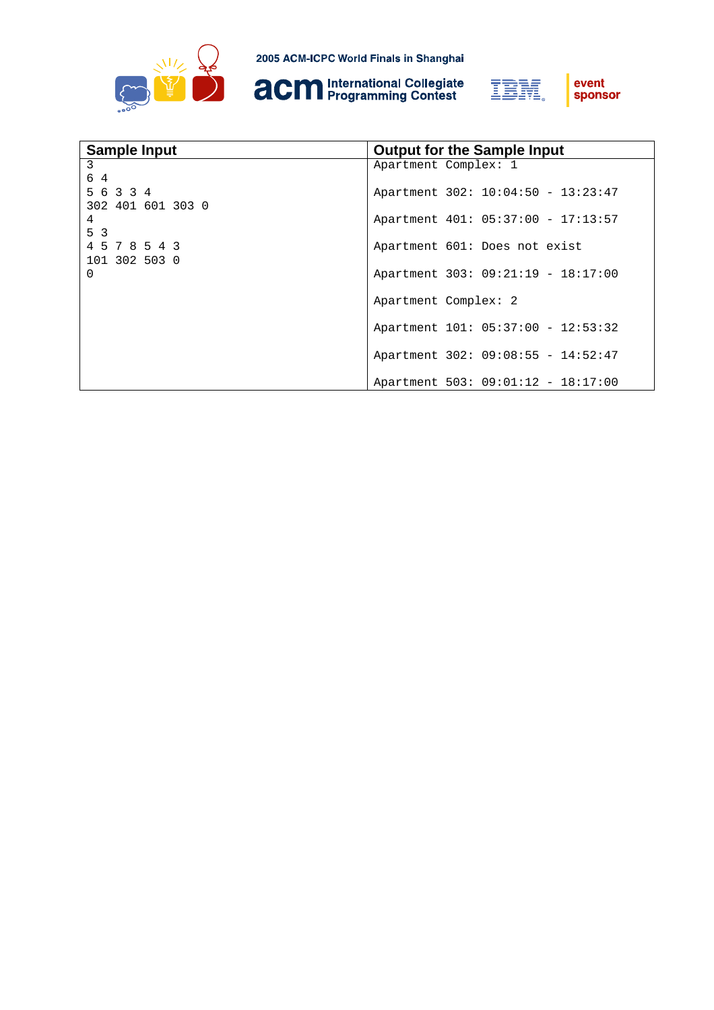![](_page_8_Picture_0.jpeg)

**acm** International Collegiate

![](_page_8_Picture_3.jpeg)

event<br>sponsor

| <b>Sample Input</b> | <b>Output for the Sample Input</b>   |
|---------------------|--------------------------------------|
| 3                   | Apartment Complex: 1                 |
| 6 4                 |                                      |
| 5 6 3 3 4           | Apartment $302: 10:04:50 - 13:23:47$ |
| 302 401 601 303 0   |                                      |
| 4                   | Apartment 401: 05:37:00 - 17:13:57   |
| 5 <sup>3</sup>      |                                      |
| 4 5 7 8 5 4 3       | Apartment 601: Does not exist        |
| 101 302 503 0       |                                      |
| $\Omega$            | Apartment $303: 09:21:19 - 18:17:00$ |
|                     |                                      |
|                     | Apartment Complex: 2                 |
|                     |                                      |
|                     | Apartment 101: 05:37:00 - 12:53:32   |
|                     |                                      |
|                     | Apartment 302: 09:08:55 - 14:52:47   |
|                     |                                      |
|                     | Apartment 503: 09:01:12 - 18:17:00   |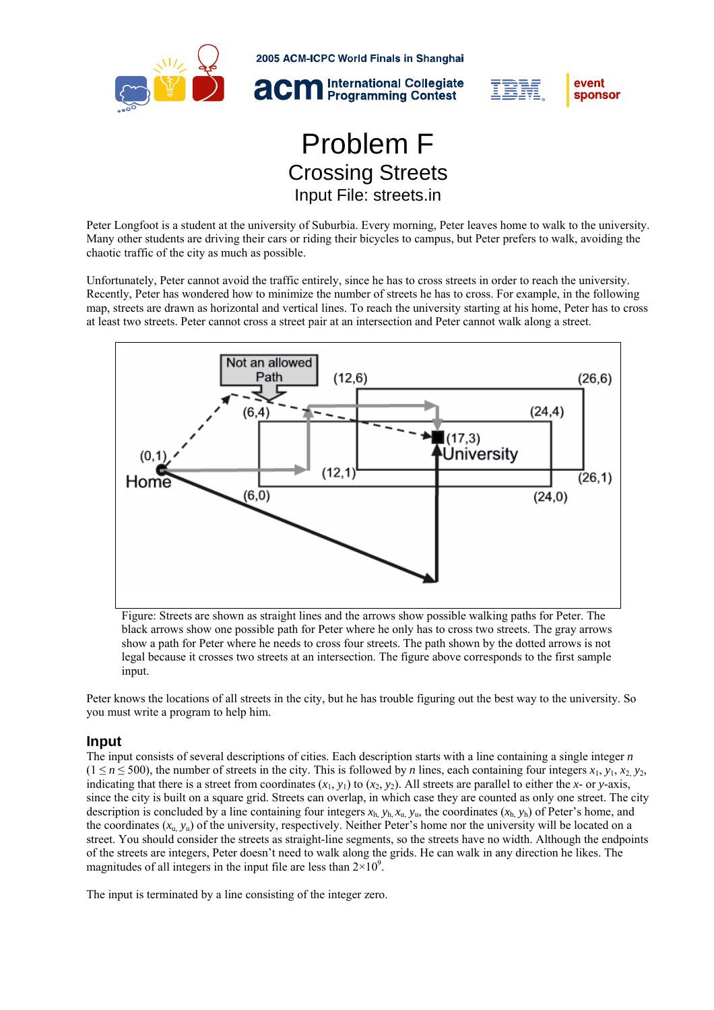![](_page_9_Picture_0.jpeg)

**International Collegiate acm** International Collegiate

event

**sponsor** 

# Problem F Crossing Streets Input File: streets.in

Peter Longfoot is a student at the university of Suburbia. Every morning, Peter leaves home to walk to the university. Many other students are driving their cars or riding their bicycles to campus, but Peter prefers to walk, avoiding the chaotic traffic of the city as much as possible.

Unfortunately, Peter cannot avoid the traffic entirely, since he has to cross streets in order to reach the university. Recently, Peter has wondered how to minimize the number of streets he has to cross. For example, in the following map, streets are drawn as horizontal and vertical lines. To reach the university starting at his home, Peter has to cross at least two streets. Peter cannot cross a street pair at an intersection and Peter cannot walk along a street.

![](_page_9_Figure_6.jpeg)

Figure: Streets are shown as straight lines and the arrows show possible walking paths for Peter. The black arrows show one possible path for Peter where he only has to cross two streets. The gray arrows show a path for Peter where he needs to cross four streets. The path shown by the dotted arrows is not legal because it crosses two streets at an intersection. The figure above corresponds to the first sample input.

Peter knows the locations of all streets in the city, but he has trouble figuring out the best way to the university. So you must write a program to help him.

### **Input**

The input consists of several descriptions of cities. Each description starts with a line containing a single integer *n*  $(1 \le n \le 500)$ , the number of streets in the city. This is followed by *n* lines, each containing four integers  $x_1, y_1, x_2, y_2$ indicating that there is a street from coordinates  $(x_1, y_1)$  to  $(x_2, y_2)$ . All streets are parallel to either the *x*- or *y*-axis, since the city is built on a square grid. Streets can overlap, in which case they are counted as only one street. The city description is concluded by a line containing four integers  $x_h$ ,  $y_h$ ,  $x_u$ ,  $y_u$ , the coordinates  $(x_h, y_h)$  of Peter's home, and the coordinates  $(x<sub>u</sub>, y<sub>u</sub>)$  of the university, respectively. Neither Peter's home nor the university will be located on a street. You should consider the streets as straight-line segments, so the streets have no width. Although the endpoints of the streets are integers, Peter doesn't need to walk along the grids. He can walk in any direction he likes. The magnitudes of all integers in the input file are less than  $2 \times 10^9$ .

The input is terminated by a line consisting of the integer zero.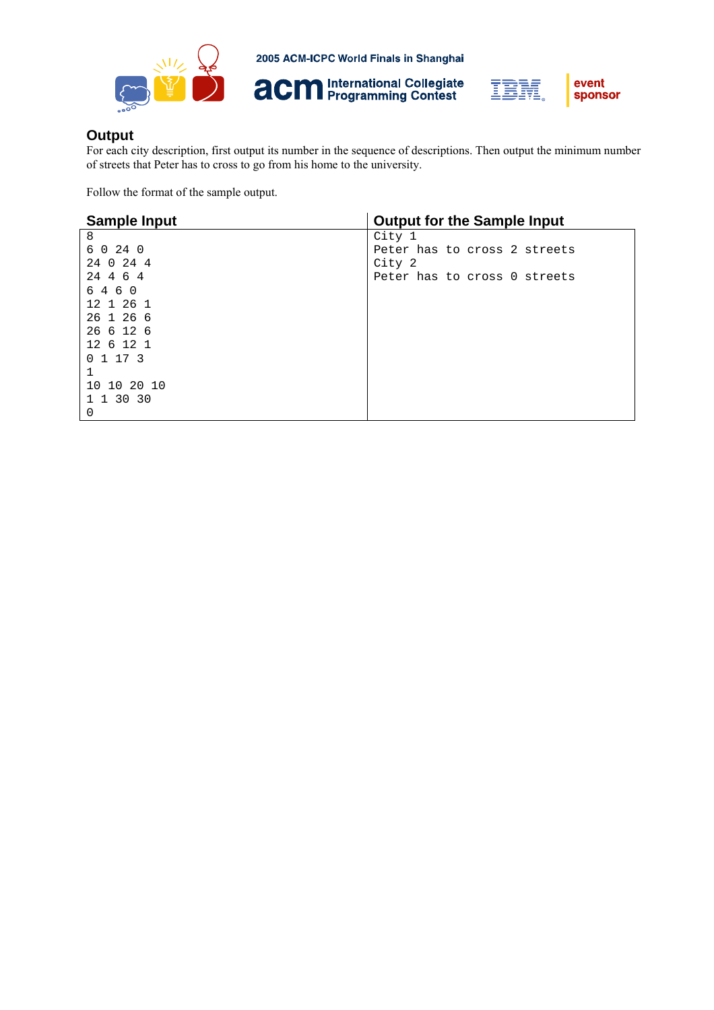![](_page_10_Picture_0.jpeg)

**acm** International Collegiate

![](_page_10_Picture_3.jpeg)

### **Output**

For each city description, first output its number in the sequence of descriptions. Then output the minimum number of streets that Peter has to cross to go from his home to the university.

Follow the format of the sample output.

| <b>Sample Input</b> | <b>Output for the Sample Input</b> |
|---------------------|------------------------------------|
| 8                   | City 1                             |
| 6 0 24 0            | Peter has to cross 2 streets       |
| 24 0 24 4           | City 2                             |
| 24 4 6 4            | Peter has to cross 0 streets       |
| 6 4 6 0             |                                    |
| 12 1 26 1           |                                    |
| 26 1 26 6           |                                    |
| 26 6 12 6           |                                    |
| 12 6 12 1           |                                    |
| $0$ 1 17 3          |                                    |
|                     |                                    |
| 10 20 10<br>10      |                                    |
| 1 1 30 30           |                                    |
| 0                   |                                    |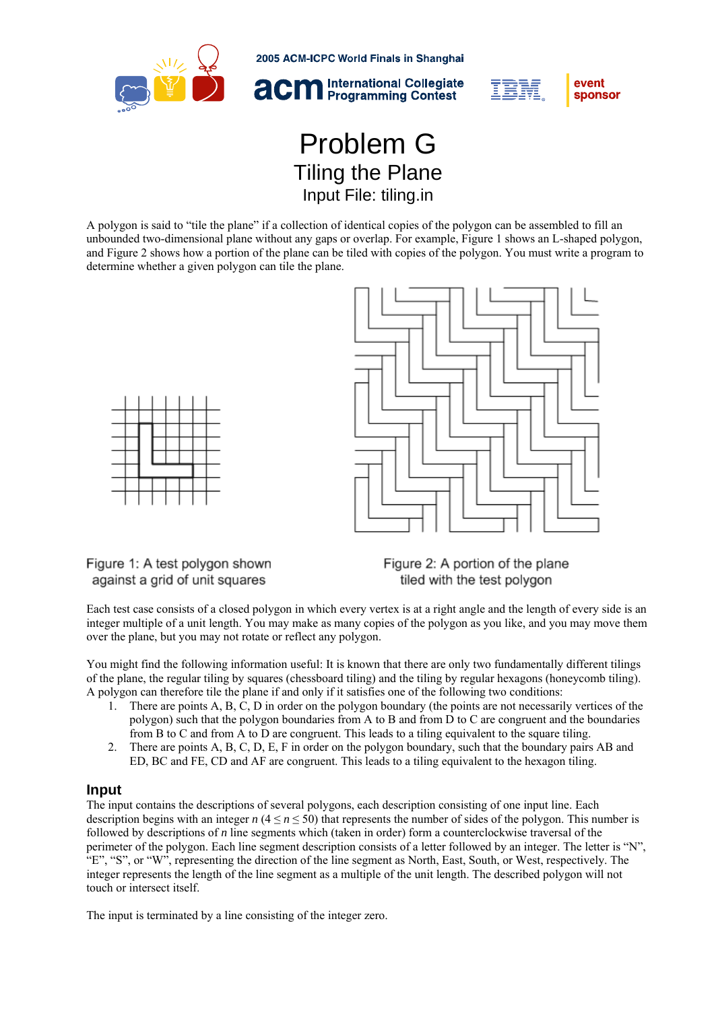![](_page_11_Picture_0.jpeg)

**International Collegiate acm** International Collegiate

![](_page_11_Picture_3.jpeg)

# Problem G Tiling the Plane Input File: tiling.in

A polygon is said to "tile the plane" if a collection of identical copies of the polygon can be assembled to fill an unbounded two-dimensional plane without any gaps or overlap. For example, Figure 1 shows an L-shaped polygon, and Figure 2 shows how a portion of the plane can be tiled with copies of the polygon. You must write a program to determine whether a given polygon can tile the plane.

![](_page_11_Figure_6.jpeg)

![](_page_11_Figure_7.jpeg)

Figure 1: A test polygon shown against a grid of unit squares

Figure 2: A portion of the plane tiled with the test polygon

Each test case consists of a closed polygon in which every vertex is at a right angle and the length of every side is an integer multiple of a unit length. You may make as many copies of the polygon as you like, and you may move them over the plane, but you may not rotate or reflect any polygon.

You might find the following information useful: It is known that there are only two fundamentally different tilings of the plane, the regular tiling by squares (chessboard tiling) and the tiling by regular hexagons (honeycomb tiling). A polygon can therefore tile the plane if and only if it satisfies one of the following two conditions:

- 1. There are points A, B, C, D in order on the polygon boundary (the points are not necessarily vertices of the polygon) such that the polygon boundaries from A to B and from D to C are congruent and the boundaries from B to C and from A to D are congruent. This leads to a tiling equivalent to the square tiling.
- 2. There are points A, B, C, D, E, F in order on the polygon boundary, such that the boundary pairs AB and ED, BC and FE, CD and AF are congruent. This leads to a tiling equivalent to the hexagon tiling.

#### **Input**

The input contains the descriptions of several polygons, each description consisting of one input line. Each description begins with an integer  $n$  ( $4 \le n \le 50$ ) that represents the number of sides of the polygon. This number is followed by descriptions of *n* line segments which (taken in order) form a counterclockwise traversal of the perimeter of the polygon. Each line segment description consists of a letter followed by an integer. The letter is "N", "E", "S", or "W", representing the direction of the line segment as North, East, South, or West, respectively. The integer represents the length of the line segment as a multiple of the unit length. The described polygon will not touch or intersect itself.

The input is terminated by a line consisting of the integer zero.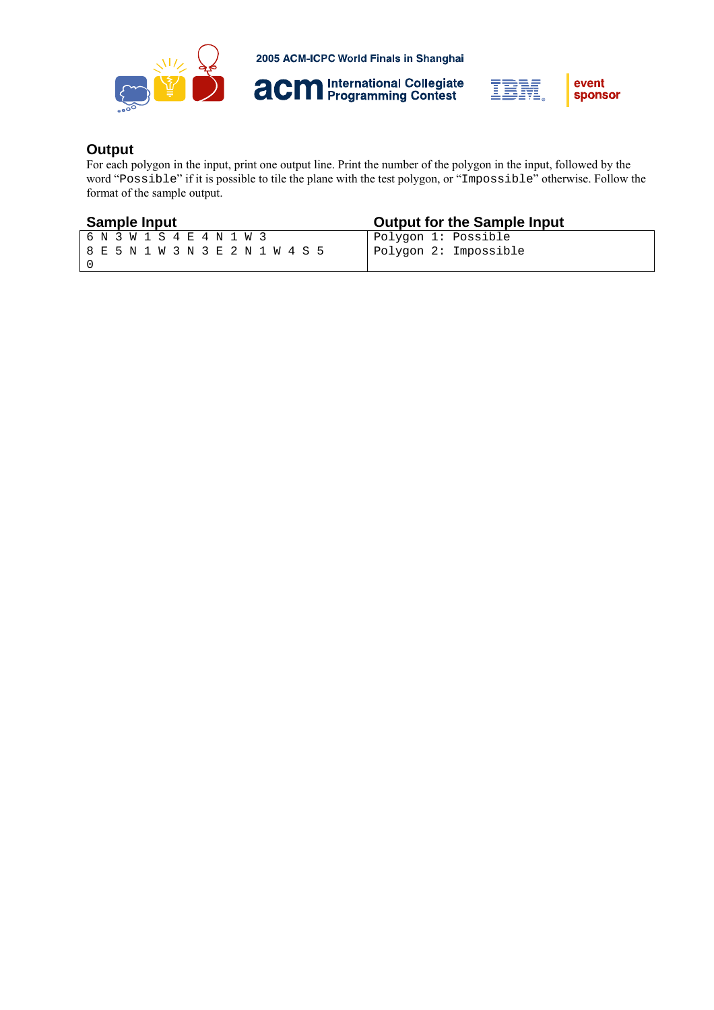![](_page_12_Picture_0.jpeg)

**acm** International Collegiate

![](_page_12_Picture_3.jpeg)

### **Output**

For each polygon in the input, print one output line. Print the number of the polygon in the input, followed by the word "Possible" if it is possible to tile the plane with the test polygon, or "Impossible" otherwise. Follow the format of the sample output.

## **Sample Input Community Contract Contract Contract Contract Contract Contract Contract Contract Contract Contract Contract Contract Contract Contract Contract Contract Contract Contract Contract Contract Contract Contract**

| 6 N 3 W 1 S 4 E 4 N 1 W 3         |  |  |  |  |  |  |  | Polygon 1: Possible   |  |
|-----------------------------------|--|--|--|--|--|--|--|-----------------------|--|
| 8 E 5 N 1 W 3 N 3 E 2 N 1 W 4 S 5 |  |  |  |  |  |  |  | Polygon 2: Impossible |  |
|                                   |  |  |  |  |  |  |  |                       |  |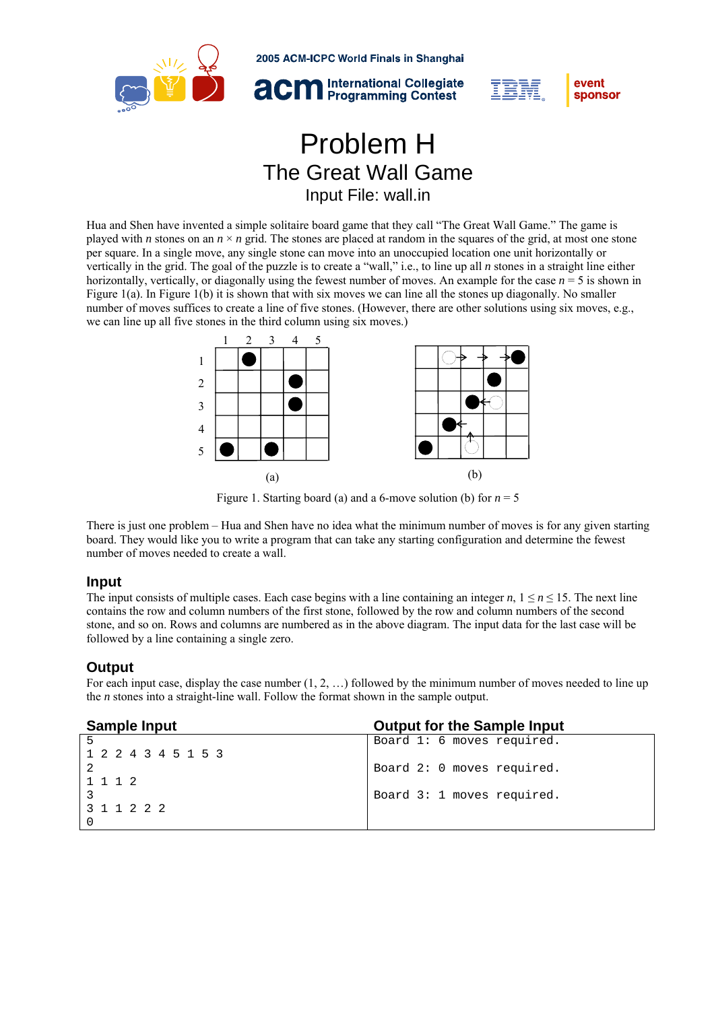![](_page_13_Picture_0.jpeg)

Input File: wall.in

Hua and Shen have invented a simple solitaire board game that they call "The Great Wall Game." The game is played with *n* stones on an  $n \times n$  grid. The stones are placed at random in the squares of the grid, at most one stone per square. In a single move, any single stone can move into an unoccupied location one unit horizontally or vertically in the grid. The goal of the puzzle is to create a "wall," i.e., to line up all *n* stones in a straight line either horizontally, vertically, or diagonally using the fewest number of moves. An example for the case *n* = 5 is shown in Figure 1(a). In Figure 1(b) it is shown that with six moves we can line all the stones up diagonally. No smaller number of moves suffices to create a line of five stones. (However, there are other solutions using six moves, e.g., we can line up all five stones in the third column using six moves.)

![](_page_13_Figure_3.jpeg)

Figure 1. Starting board (a) and a 6-move solution (b) for  $n = 5$ 

There is just one problem – Hua and Shen have no idea what the minimum number of moves is for any given starting board. They would like you to write a program that can take any starting configuration and determine the fewest number of moves needed to create a wall.

#### **Input**

The input consists of multiple cases. Each case begins with a line containing an integer  $n, 1 \le n \le 15$ . The next line contains the row and column numbers of the first stone, followed by the row and column numbers of the second stone, and so on. Rows and columns are numbered as in the above diagram. The input data for the last case will be followed by a line containing a single zero.

### **Output**

 $1 2 2 4$ 

1 1 1 2

3 1 1 2

2

3

 $\Omega$ 

For each input case, display the case number  $(1, 2, ...)$  followed by the minimum number of moves needed to line up the *n* stones into a straight-line wall. Follow the format shown in the sample output.

| Sample Input |  |
|--------------|--|
|              |  |

| input       | <b>Output for the Sample Input</b> |
|-------------|------------------------------------|
| 3 4 5 1 5 3 | Board 1: 6 moves required.         |
|             | Board 2: 0 moves required.         |
| 22          | Board 3: 1 moves required.         |

**Sample Input Output for the Sample Input**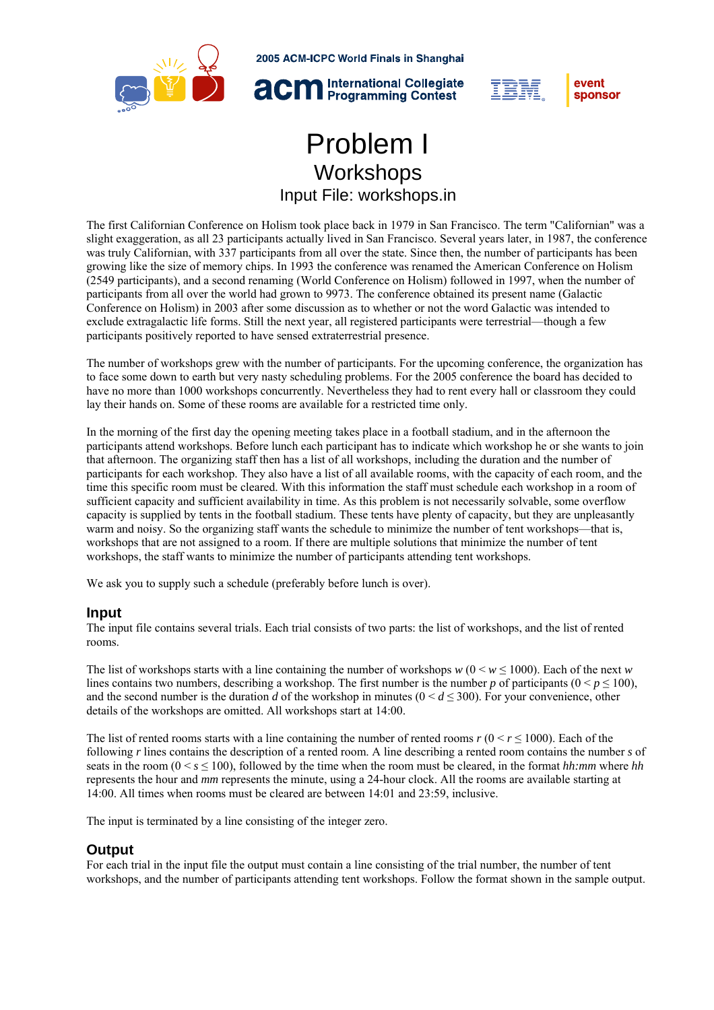![](_page_14_Picture_0.jpeg)

**acm** International Collegiate

event **sponsor** 

# Problem I **Workshops** Input File: workshops.in

The first Californian Conference on Holism took place back in 1979 in San Francisco. The term "Californian" was a slight exaggeration, as all 23 participants actually lived in San Francisco. Several years later, in 1987, the conference was truly Californian, with 337 participants from all over the state. Since then, the number of participants has been growing like the size of memory chips. In 1993 the conference was renamed the American Conference on Holism (2549 participants), and a second renaming (World Conference on Holism) followed in 1997, when the number of participants from all over the world had grown to 9973. The conference obtained its present name (Galactic Conference on Holism) in 2003 after some discussion as to whether or not the word Galactic was intended to exclude extragalactic life forms. Still the next year, all registered participants were terrestrial—though a few participants positively reported to have sensed extraterrestrial presence.

The number of workshops grew with the number of participants. For the upcoming conference, the organization has to face some down to earth but very nasty scheduling problems. For the 2005 conference the board has decided to have no more than 1000 workshops concurrently. Nevertheless they had to rent every hall or classroom they could lay their hands on. Some of these rooms are available for a restricted time only.

In the morning of the first day the opening meeting takes place in a football stadium, and in the afternoon the participants attend workshops. Before lunch each participant has to indicate which workshop he or she wants to join that afternoon. The organizing staff then has a list of all workshops, including the duration and the number of participants for each workshop. They also have a list of all available rooms, with the capacity of each room, and the time this specific room must be cleared. With this information the staff must schedule each workshop in a room of sufficient capacity and sufficient availability in time. As this problem is not necessarily solvable, some overflow capacity is supplied by tents in the football stadium. These tents have plenty of capacity, but they are unpleasantly warm and noisy. So the organizing staff wants the schedule to minimize the number of tent workshops—that is, workshops that are not assigned to a room. If there are multiple solutions that minimize the number of tent workshops, the staff wants to minimize the number of participants attending tent workshops.

We ask you to supply such a schedule (preferably before lunch is over).

#### **Input**

The input file contains several trials. Each trial consists of two parts: the list of workshops, and the list of rented rooms.

The list of workshops starts with a line containing the number of workshops  $w (0 \lt w \le 1000)$ . Each of the next *w* lines contains two numbers, describing a workshop. The first number is the number *p* of participants  $(0 \le p \le 100)$ , and the second number is the duration *d* of the workshop in minutes ( $0 < d \le 300$ ). For your convenience, other details of the workshops are omitted. All workshops start at 14:00.

The list of rented rooms starts with a line containing the number of rented rooms  $r (0 \lt r \le 1000)$ . Each of the following *r* lines contains the description of a rented room. A line describing a rented room contains the number *s* of seats in the room  $(0 \lt s \le 100)$ , followed by the time when the room must be cleared, in the format *hh:mm* where *hh* represents the hour and *mm* represents the minute, using a 24-hour clock. All the rooms are available starting at 14:00. All times when rooms must be cleared are between 14:01 and 23:59, inclusive.

The input is terminated by a line consisting of the integer zero.

### **Output**

For each trial in the input file the output must contain a line consisting of the trial number, the number of tent workshops, and the number of participants attending tent workshops. Follow the format shown in the sample output.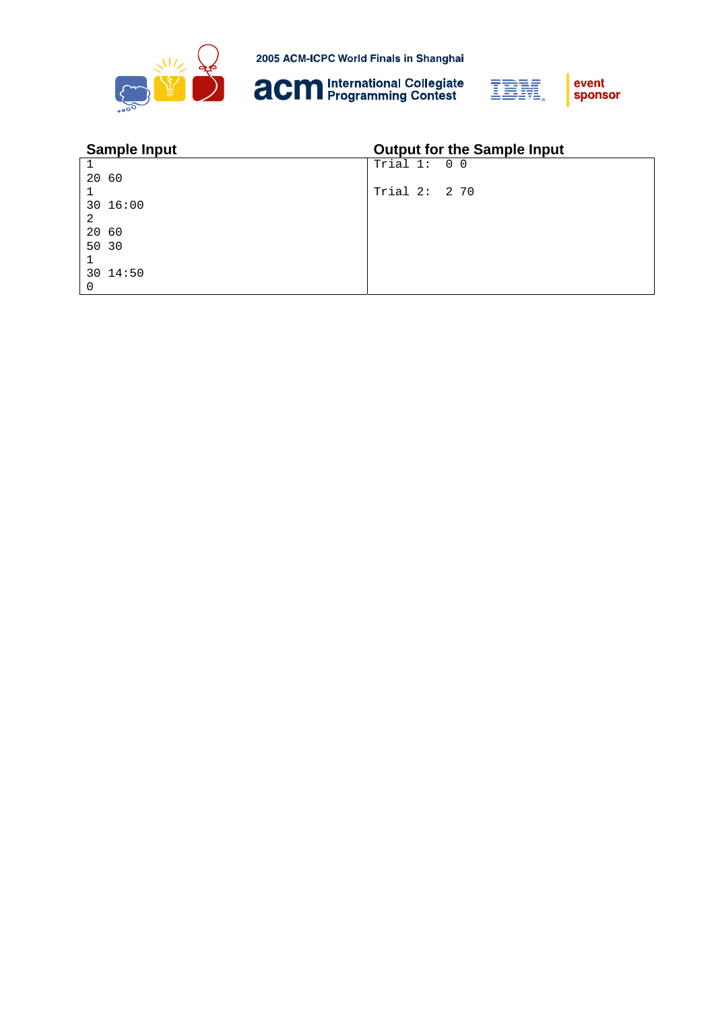![](_page_15_Picture_0.jpeg)

**acm** International Collegiate

![](_page_15_Picture_3.jpeg)

event<br>sponsor

| Sample Input | <b>Output for the Sample Input</b> |
|--------------|------------------------------------|
|              | Trial $1: 0 0$                     |
| 20 60        |                                    |
| 1            | Trial 2: 2 70                      |
| 30 16:00     |                                    |
| 2            |                                    |
| 20 60        |                                    |
| 50 30        |                                    |
| 1            |                                    |
| 30 14:50     |                                    |
| 0            |                                    |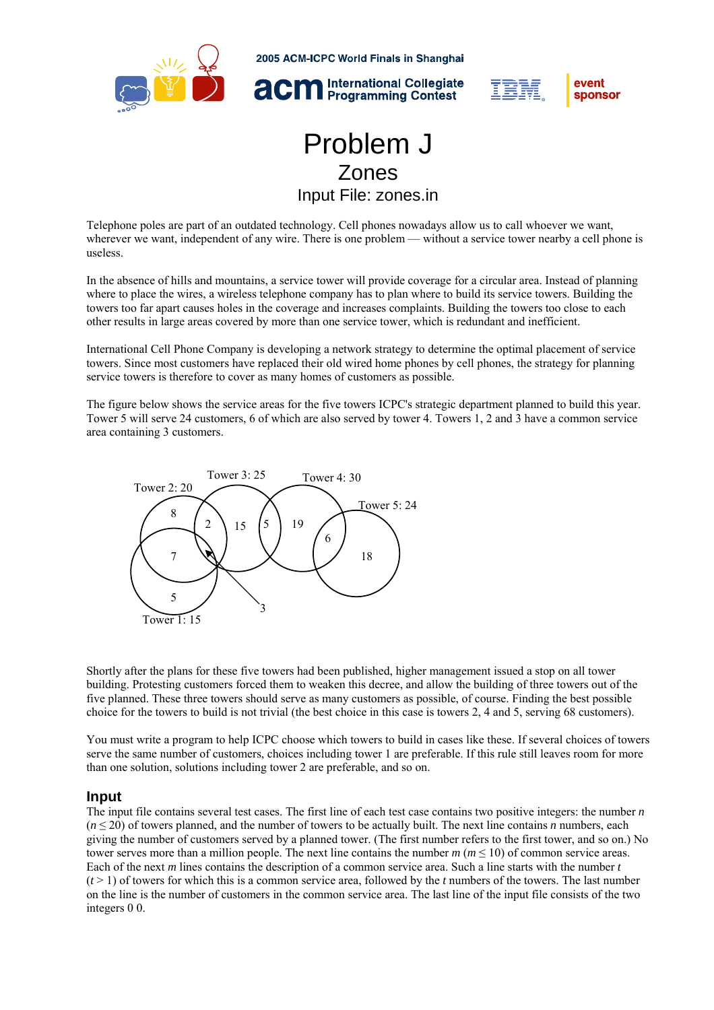![](_page_16_Picture_0.jpeg)

**International Collegiate acm International Collegiate** 

![](_page_16_Picture_3.jpeg)

# Problem J Zones Input File: zones.in

Telephone poles are part of an outdated technology. Cell phones nowadays allow us to call whoever we want, wherever we want, independent of any wire. There is one problem — without a service tower nearby a cell phone is useless.

In the absence of hills and mountains, a service tower will provide coverage for a circular area. Instead of planning where to place the wires, a wireless telephone company has to plan where to build its service towers. Building the towers too far apart causes holes in the coverage and increases complaints. Building the towers too close to each other results in large areas covered by more than one service tower, which is redundant and inefficient.

International Cell Phone Company is developing a network strategy to determine the optimal placement of service towers. Since most customers have replaced their old wired home phones by cell phones, the strategy for planning service towers is therefore to cover as many homes of customers as possible.

The figure below shows the service areas for the five towers ICPC's strategic department planned to build this year. Tower 5 will serve 24 customers, 6 of which are also served by tower 4. Towers 1, 2 and 3 have a common service area containing 3 customers.

![](_page_16_Figure_9.jpeg)

Shortly after the plans for these five towers had been published, higher management issued a stop on all tower building. Protesting customers forced them to weaken this decree, and allow the building of three towers out of the five planned. These three towers should serve as many customers as possible, of course. Finding the best possible choice for the towers to build is not trivial (the best choice in this case is towers 2, 4 and 5, serving 68 customers).

You must write a program to help ICPC choose which towers to build in cases like these. If several choices of towers serve the same number of customers, choices including tower 1 are preferable. If this rule still leaves room for more than one solution, solutions including tower 2 are preferable, and so on.

#### **Input**

The input file contains several test cases. The first line of each test case contains two positive integers: the number *n*  $(n \leq 20)$  of towers planned, and the number of towers to be actually built. The next line contains *n* numbers, each giving the number of customers served by a planned tower. (The first number refers to the first tower, and so on.) No tower serves more than a million people. The next line contains the number  $m (m \le 10)$  of common service areas. Each of the next *m* lines contains the description of a common service area. Such a line starts with the number *t*  $(t > 1)$  of towers for which this is a common service area, followed by the *t* numbers of the towers. The last number on the line is the number of customers in the common service area. The last line of the input file consists of the two integers 0 0.